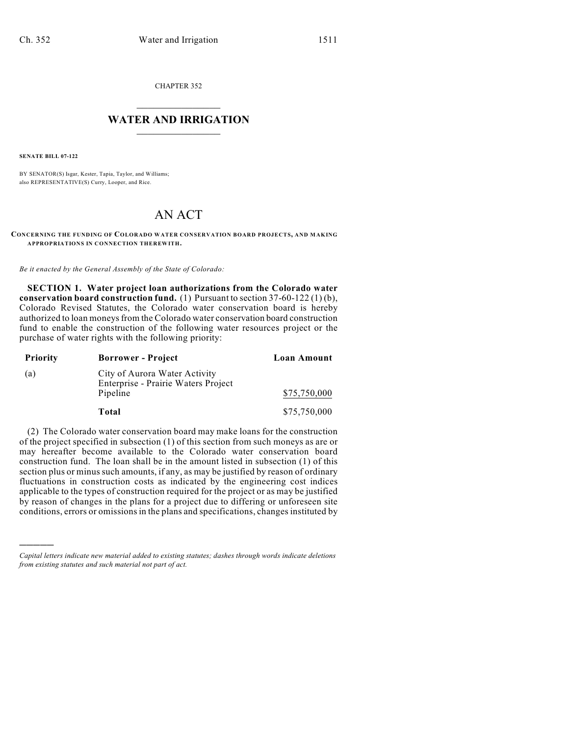CHAPTER 352

## $\overline{\phantom{a}}$  . The set of the set of the set of the set of the set of the set of the set of the set of the set of the set of the set of the set of the set of the set of the set of the set of the set of the set of the set o **WATER AND IRRIGATION**  $\_$   $\_$

**SENATE BILL 07-122**

)))))

BY SENATOR(S) Isgar, Kester, Tapia, Taylor, and Williams; also REPRESENTATIVE(S) Curry, Looper, and Rice.

## AN ACT

**CONCERNING THE FUNDING OF COLORADO WATER CONSERVATION BOARD PROJECTS, AND MAKING APPROPRIATIONS IN CONNECTION THEREWITH.**

*Be it enacted by the General Assembly of the State of Colorado:*

**SECTION 1. Water project loan authorizations from the Colorado water conservation board construction fund.** (1) Pursuant to section 37-60-122 (1) (b), Colorado Revised Statutes, the Colorado water conservation board is hereby authorized to loan moneys from the Colorado water conservation board construction fund to enable the construction of the following water resources project or the purchase of water rights with the following priority:

| <b>Priority</b> | <b>Borrower</b> - Project                                                        | Loan Amount  |
|-----------------|----------------------------------------------------------------------------------|--------------|
| (a)             | City of Aurora Water Activity<br>Enterprise - Prairie Waters Project<br>Pipeline | \$75,750,000 |
|                 | Total                                                                            | \$75,750,000 |

(2) The Colorado water conservation board may make loans for the construction of the project specified in subsection (1) of this section from such moneys as are or may hereafter become available to the Colorado water conservation board construction fund. The loan shall be in the amount listed in subsection (1) of this section plus or minus such amounts, if any, as may be justified by reason of ordinary fluctuations in construction costs as indicated by the engineering cost indices applicable to the types of construction required for the project or as may be justified by reason of changes in the plans for a project due to differing or unforeseen site conditions, errors or omissions in the plans and specifications, changes instituted by

*Capital letters indicate new material added to existing statutes; dashes through words indicate deletions from existing statutes and such material not part of act.*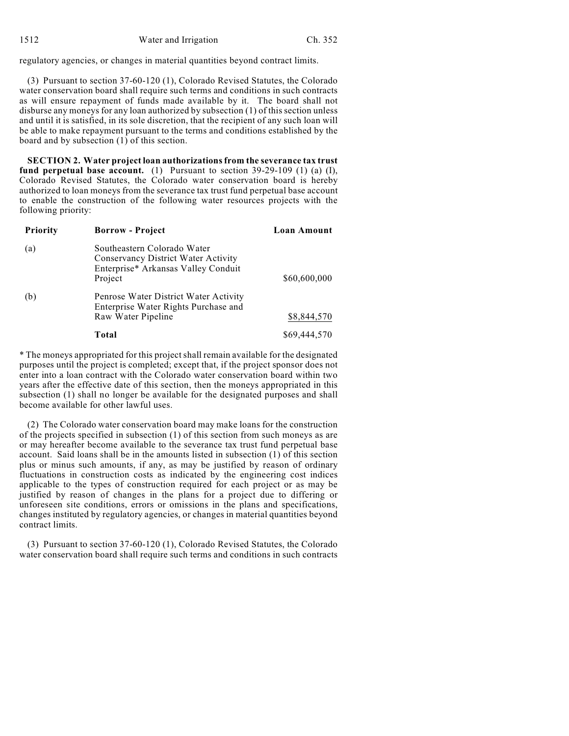regulatory agencies, or changes in material quantities beyond contract limits.

(3) Pursuant to section 37-60-120 (1), Colorado Revised Statutes, the Colorado water conservation board shall require such terms and conditions in such contracts as will ensure repayment of funds made available by it. The board shall not disburse any moneys for any loan authorized by subsection (1) of this section unless and until it is satisfied, in its sole discretion, that the recipient of any such loan will be able to make repayment pursuant to the terms and conditions established by the board and by subsection (1) of this section.

**SECTION 2. Water project loan authorizations from the severance tax trust fund perpetual base account.** (1) Pursuant to section 39-29-109 (1) (a) (I), Colorado Revised Statutes, the Colorado water conservation board is hereby authorized to loan moneys from the severance tax trust fund perpetual base account to enable the construction of the following water resources projects with the following priority:

| Priority | <b>Borrow</b> - Project                                                                                              | Loan Amount  |
|----------|----------------------------------------------------------------------------------------------------------------------|--------------|
| (a)      | Southeastern Colorado Water<br>Conservancy District Water Activity<br>Enterprise* Arkansas Valley Conduit<br>Project | \$60,600,000 |
| (b)      | Penrose Water District Water Activity<br>Enterprise Water Rights Purchase and<br>Raw Water Pipeline                  | \$8,844,570  |
|          | Total                                                                                                                | \$69,444,570 |

\* The moneys appropriated for this project shall remain available for the designated purposes until the project is completed; except that, if the project sponsor does not enter into a loan contract with the Colorado water conservation board within two years after the effective date of this section, then the moneys appropriated in this subsection (1) shall no longer be available for the designated purposes and shall become available for other lawful uses.

(2) The Colorado water conservation board may make loans for the construction of the projects specified in subsection (1) of this section from such moneys as are or may hereafter become available to the severance tax trust fund perpetual base account. Said loans shall be in the amounts listed in subsection (1) of this section plus or minus such amounts, if any, as may be justified by reason of ordinary fluctuations in construction costs as indicated by the engineering cost indices applicable to the types of construction required for each project or as may be justified by reason of changes in the plans for a project due to differing or unforeseen site conditions, errors or omissions in the plans and specifications, changes instituted by regulatory agencies, or changes in material quantities beyond contract limits.

(3) Pursuant to section 37-60-120 (1), Colorado Revised Statutes, the Colorado water conservation board shall require such terms and conditions in such contracts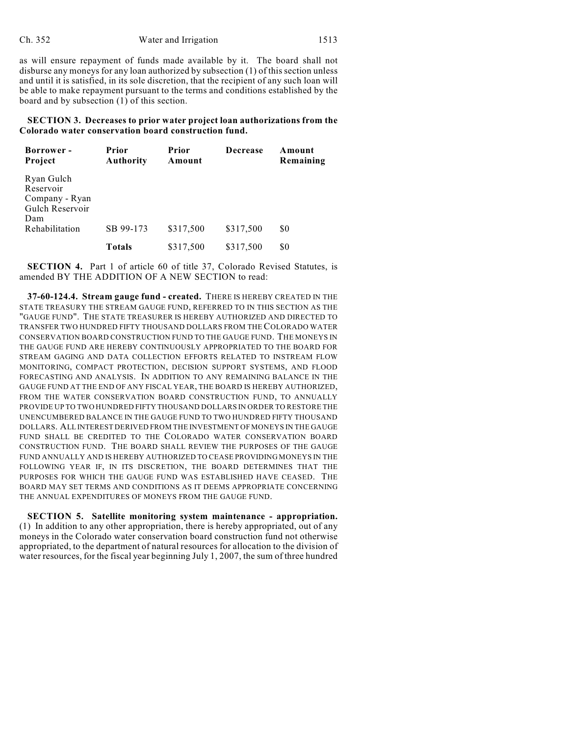as will ensure repayment of funds made available by it. The board shall not disburse any moneys for any loan authorized by subsection (1) of this section unless and until it is satisfied, in its sole discretion, that the recipient of any such loan will be able to make repayment pursuant to the terms and conditions established by the board and by subsection (1) of this section.

**SECTION 3. Decreases to prior water project loan authorizations from the Colorado water conservation board construction fund.**

| <b>Borrower</b> -<br><b>Project</b>                                 | <b>Prior</b><br><b>Authority</b> | Prior<br>Amount | <b>Decrease</b> | Amount<br>Remaining |
|---------------------------------------------------------------------|----------------------------------|-----------------|-----------------|---------------------|
| Ryan Gulch<br>Reservoir<br>Company - Ryan<br>Gulch Reservoir<br>Dam |                                  |                 |                 |                     |
| Rehabilitation                                                      | SB 99-173                        | \$317,500       | \$317,500       | \$0                 |
|                                                                     | Totals                           | \$317,500       | \$317,500       | \$0                 |

**SECTION 4.** Part 1 of article 60 of title 37, Colorado Revised Statutes, is amended BY THE ADDITION OF A NEW SECTION to read:

**37-60-124.4. Stream gauge fund - created.** THERE IS HEREBY CREATED IN THE STATE TREASURY THE STREAM GAUGE FUND, REFERRED TO IN THIS SECTION AS THE "GAUGE FUND". THE STATE TREASURER IS HEREBY AUTHORIZED AND DIRECTED TO TRANSFER TWO HUNDRED FIFTY THOUSAND DOLLARS FROM THE COLORADO WATER CONSERVATION BOARD CONSTRUCTION FUND TO THE GAUGE FUND. THE MONEYS IN THE GAUGE FUND ARE HEREBY CONTINUOUSLY APPROPRIATED TO THE BOARD FOR STREAM GAGING AND DATA COLLECTION EFFORTS RELATED TO INSTREAM FLOW MONITORING, COMPACT PROTECTION, DECISION SUPPORT SYSTEMS, AND FLOOD FORECASTING AND ANALYSIS. IN ADDITION TO ANY REMAINING BALANCE IN THE GAUGE FUND AT THE END OF ANY FISCAL YEAR, THE BOARD IS HEREBY AUTHORIZED, FROM THE WATER CONSERVATION BOARD CONSTRUCTION FUND, TO ANNUALLY PROVIDE UP TO TWO HUNDRED FIFTY THOUSAND DOLLARS IN ORDER TO RESTORE THE UNENCUMBERED BALANCE IN THE GAUGE FUND TO TWO HUNDRED FIFTY THOUSAND DOLLARS. ALL INTEREST DERIVED FROM THE INVESTMENT OF MONEYS IN THE GAUGE FUND SHALL BE CREDITED TO THE COLORADO WATER CONSERVATION BOARD CONSTRUCTION FUND. THE BOARD SHALL REVIEW THE PURPOSES OF THE GAUGE FUND ANNUALLY AND IS HEREBY AUTHORIZED TO CEASE PROVIDING MONEYS IN THE FOLLOWING YEAR IF, IN ITS DISCRETION, THE BOARD DETERMINES THAT THE PURPOSES FOR WHICH THE GAUGE FUND WAS ESTABLISHED HAVE CEASED. THE BOARD MAY SET TERMS AND CONDITIONS AS IT DEEMS APPROPRIATE CONCERNING THE ANNUAL EXPENDITURES OF MONEYS FROM THE GAUGE FUND.

**SECTION 5. Satellite monitoring system maintenance - appropriation.** (1) In addition to any other appropriation, there is hereby appropriated, out of any moneys in the Colorado water conservation board construction fund not otherwise appropriated, to the department of natural resources for allocation to the division of water resources, for the fiscal year beginning July 1, 2007, the sum of three hundred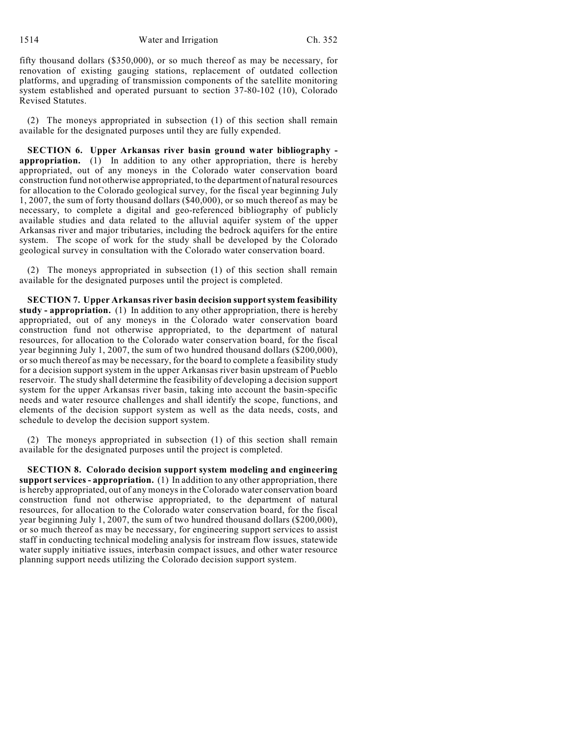fifty thousand dollars (\$350,000), or so much thereof as may be necessary, for renovation of existing gauging stations, replacement of outdated collection platforms, and upgrading of transmission components of the satellite monitoring system established and operated pursuant to section 37-80-102 (10), Colorado Revised Statutes.

(2) The moneys appropriated in subsection (1) of this section shall remain available for the designated purposes until they are fully expended.

**SECTION 6. Upper Arkansas river basin ground water bibliography appropriation.** (1) In addition to any other appropriation, there is hereby appropriated, out of any moneys in the Colorado water conservation board construction fund not otherwise appropriated, to the department of natural resources for allocation to the Colorado geological survey, for the fiscal year beginning July 1, 2007, the sum of forty thousand dollars (\$40,000), or so much thereof as may be necessary, to complete a digital and geo-referenced bibliography of publicly available studies and data related to the alluvial aquifer system of the upper Arkansas river and major tributaries, including the bedrock aquifers for the entire system. The scope of work for the study shall be developed by the Colorado geological survey in consultation with the Colorado water conservation board.

(2) The moneys appropriated in subsection (1) of this section shall remain available for the designated purposes until the project is completed.

**SECTION 7. Upper Arkansas river basin decision support system feasibility study - appropriation.** (1) In addition to any other appropriation, there is hereby appropriated, out of any moneys in the Colorado water conservation board construction fund not otherwise appropriated, to the department of natural resources, for allocation to the Colorado water conservation board, for the fiscal year beginning July 1, 2007, the sum of two hundred thousand dollars (\$200,000), or so much thereof as may be necessary, for the board to complete a feasibility study for a decision support system in the upper Arkansas river basin upstream of Pueblo reservoir. The study shall determine the feasibility of developing a decision support system for the upper Arkansas river basin, taking into account the basin-specific needs and water resource challenges and shall identify the scope, functions, and elements of the decision support system as well as the data needs, costs, and schedule to develop the decision support system.

(2) The moneys appropriated in subsection (1) of this section shall remain available for the designated purposes until the project is completed.

**SECTION 8. Colorado decision support system modeling and engineering support services - appropriation.** (1) In addition to any other appropriation, there is hereby appropriated, out of any moneys in the Colorado water conservation board construction fund not otherwise appropriated, to the department of natural resources, for allocation to the Colorado water conservation board, for the fiscal year beginning July 1, 2007, the sum of two hundred thousand dollars (\$200,000), or so much thereof as may be necessary, for engineering support services to assist staff in conducting technical modeling analysis for instream flow issues, statewide water supply initiative issues, interbasin compact issues, and other water resource planning support needs utilizing the Colorado decision support system.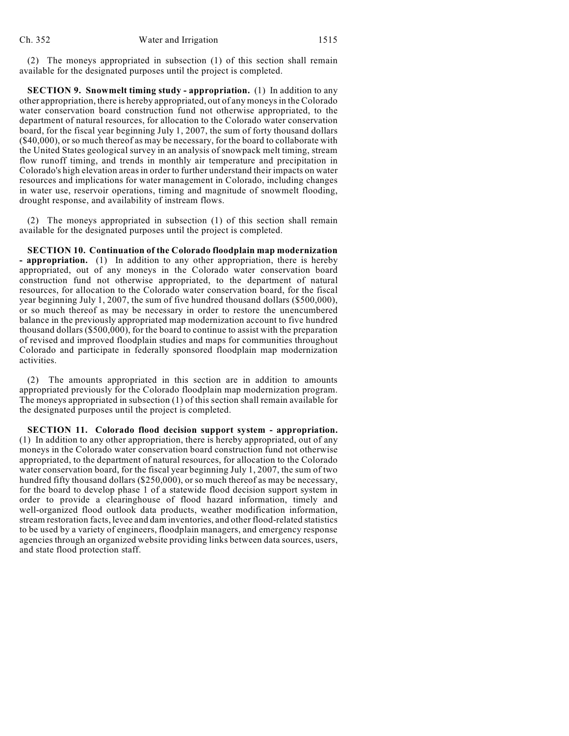(2) The moneys appropriated in subsection (1) of this section shall remain available for the designated purposes until the project is completed.

**SECTION 9. Snowmelt timing study - appropriation.** (1) In addition to any other appropriation, there is hereby appropriated, out of any moneys in the Colorado water conservation board construction fund not otherwise appropriated, to the department of natural resources, for allocation to the Colorado water conservation board, for the fiscal year beginning July 1, 2007, the sum of forty thousand dollars (\$40,000), or so much thereof as may be necessary, for the board to collaborate with the United States geological survey in an analysis of snowpack melt timing, stream flow runoff timing, and trends in monthly air temperature and precipitation in Colorado's high elevation areas in order to further understand their impacts on water resources and implications for water management in Colorado, including changes in water use, reservoir operations, timing and magnitude of snowmelt flooding, drought response, and availability of instream flows.

(2) The moneys appropriated in subsection (1) of this section shall remain available for the designated purposes until the project is completed.

**SECTION 10. Continuation of the Colorado floodplain map modernization - appropriation.** (1) In addition to any other appropriation, there is hereby appropriated, out of any moneys in the Colorado water conservation board construction fund not otherwise appropriated, to the department of natural resources, for allocation to the Colorado water conservation board, for the fiscal year beginning July 1, 2007, the sum of five hundred thousand dollars (\$500,000), or so much thereof as may be necessary in order to restore the unencumbered balance in the previously appropriated map modernization account to five hundred thousand dollars (\$500,000), for the board to continue to assist with the preparation of revised and improved floodplain studies and maps for communities throughout Colorado and participate in federally sponsored floodplain map modernization activities.

(2) The amounts appropriated in this section are in addition to amounts appropriated previously for the Colorado floodplain map modernization program. The moneys appropriated in subsection (1) of this section shall remain available for the designated purposes until the project is completed.

**SECTION 11. Colorado flood decision support system - appropriation.** (1) In addition to any other appropriation, there is hereby appropriated, out of any moneys in the Colorado water conservation board construction fund not otherwise appropriated, to the department of natural resources, for allocation to the Colorado water conservation board, for the fiscal year beginning July 1, 2007, the sum of two hundred fifty thousand dollars (\$250,000), or so much thereof as may be necessary, for the board to develop phase 1 of a statewide flood decision support system in order to provide a clearinghouse of flood hazard information, timely and well-organized flood outlook data products, weather modification information, stream restoration facts, levee and dam inventories, and other flood-related statistics to be used by a variety of engineers, floodplain managers, and emergency response agencies through an organized website providing links between data sources, users, and state flood protection staff.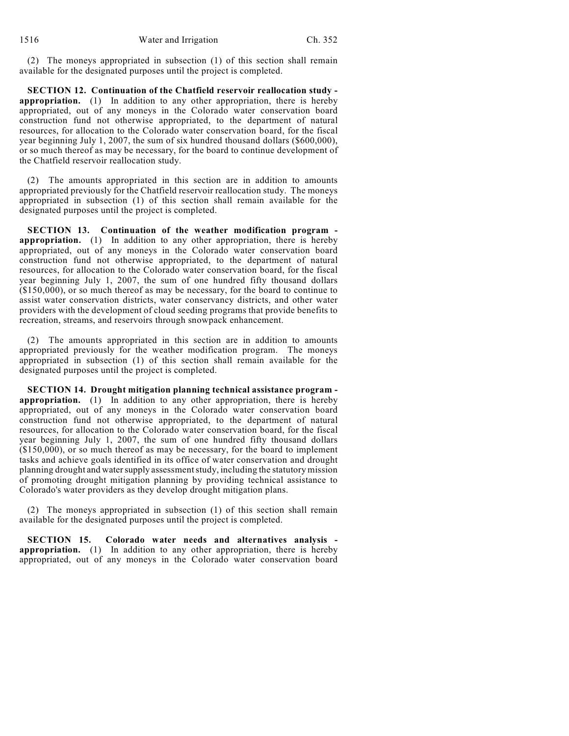(2) The moneys appropriated in subsection (1) of this section shall remain available for the designated purposes until the project is completed.

**SECTION 12. Continuation of the Chatfield reservoir reallocation study appropriation.** (1) In addition to any other appropriation, there is hereby appropriated, out of any moneys in the Colorado water conservation board construction fund not otherwise appropriated, to the department of natural resources, for allocation to the Colorado water conservation board, for the fiscal year beginning July 1, 2007, the sum of six hundred thousand dollars (\$600,000), or so much thereof as may be necessary, for the board to continue development of the Chatfield reservoir reallocation study.

(2) The amounts appropriated in this section are in addition to amounts appropriated previously for the Chatfield reservoir reallocation study. The moneys appropriated in subsection (1) of this section shall remain available for the designated purposes until the project is completed.

**SECTION 13. Continuation of the weather modification program appropriation.** (1) In addition to any other appropriation, there is hereby appropriated, out of any moneys in the Colorado water conservation board construction fund not otherwise appropriated, to the department of natural resources, for allocation to the Colorado water conservation board, for the fiscal year beginning July 1, 2007, the sum of one hundred fifty thousand dollars (\$150,000), or so much thereof as may be necessary, for the board to continue to assist water conservation districts, water conservancy districts, and other water providers with the development of cloud seeding programs that provide benefits to recreation, streams, and reservoirs through snowpack enhancement.

(2) The amounts appropriated in this section are in addition to amounts appropriated previously for the weather modification program. The moneys appropriated in subsection (1) of this section shall remain available for the designated purposes until the project is completed.

**SECTION 14. Drought mitigation planning technical assistance program appropriation.** (1) In addition to any other appropriation, there is hereby appropriated, out of any moneys in the Colorado water conservation board construction fund not otherwise appropriated, to the department of natural resources, for allocation to the Colorado water conservation board, for the fiscal year beginning July 1, 2007, the sum of one hundred fifty thousand dollars (\$150,000), or so much thereof as may be necessary, for the board to implement tasks and achieve goals identified in its office of water conservation and drought planning drought and water supply assessment study, including the statutory mission of promoting drought mitigation planning by providing technical assistance to Colorado's water providers as they develop drought mitigation plans.

(2) The moneys appropriated in subsection (1) of this section shall remain available for the designated purposes until the project is completed.

**SECTION 15. Colorado water needs and alternatives analysis appropriation.** (1) In addition to any other appropriation, there is hereby appropriated, out of any moneys in the Colorado water conservation board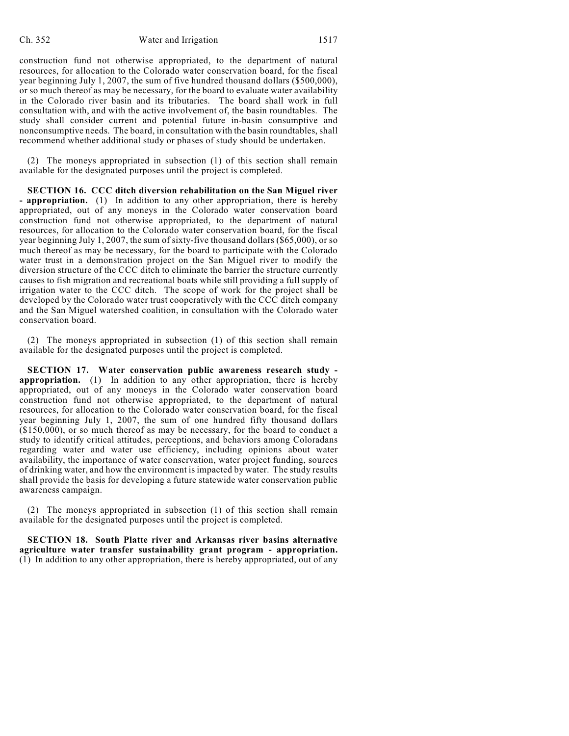construction fund not otherwise appropriated, to the department of natural resources, for allocation to the Colorado water conservation board, for the fiscal year beginning July 1, 2007, the sum of five hundred thousand dollars (\$500,000), or so much thereof as may be necessary, for the board to evaluate water availability in the Colorado river basin and its tributaries. The board shall work in full consultation with, and with the active involvement of, the basin roundtables. The study shall consider current and potential future in-basin consumptive and nonconsumptive needs. The board, in consultation with the basin roundtables, shall recommend whether additional study or phases of study should be undertaken.

(2) The moneys appropriated in subsection (1) of this section shall remain available for the designated purposes until the project is completed.

**SECTION 16. CCC ditch diversion rehabilitation on the San Miguel river - appropriation.** (1) In addition to any other appropriation, there is hereby appropriated, out of any moneys in the Colorado water conservation board construction fund not otherwise appropriated, to the department of natural resources, for allocation to the Colorado water conservation board, for the fiscal year beginning July 1, 2007, the sum of sixty-five thousand dollars (\$65,000), or so much thereof as may be necessary, for the board to participate with the Colorado water trust in a demonstration project on the San Miguel river to modify the diversion structure of the CCC ditch to eliminate the barrier the structure currently causes to fish migration and recreational boats while still providing a full supply of irrigation water to the CCC ditch. The scope of work for the project shall be developed by the Colorado water trust cooperatively with the CCC ditch company and the San Miguel watershed coalition, in consultation with the Colorado water conservation board.

(2) The moneys appropriated in subsection (1) of this section shall remain available for the designated purposes until the project is completed.

**SECTION 17. Water conservation public awareness research study appropriation.** (1) In addition to any other appropriation, there is hereby appropriated, out of any moneys in the Colorado water conservation board construction fund not otherwise appropriated, to the department of natural resources, for allocation to the Colorado water conservation board, for the fiscal year beginning July 1, 2007, the sum of one hundred fifty thousand dollars  $(150,000)$ , or so much thereof as may be necessary, for the board to conduct a study to identify critical attitudes, perceptions, and behaviors among Coloradans regarding water and water use efficiency, including opinions about water availability, the importance of water conservation, water project funding, sources of drinking water, and how the environment is impacted by water. The study results shall provide the basis for developing a future statewide water conservation public awareness campaign.

(2) The moneys appropriated in subsection (1) of this section shall remain available for the designated purposes until the project is completed.

**SECTION 18. South Platte river and Arkansas river basins alternative agriculture water transfer sustainability grant program - appropriation.** (1) In addition to any other appropriation, there is hereby appropriated, out of any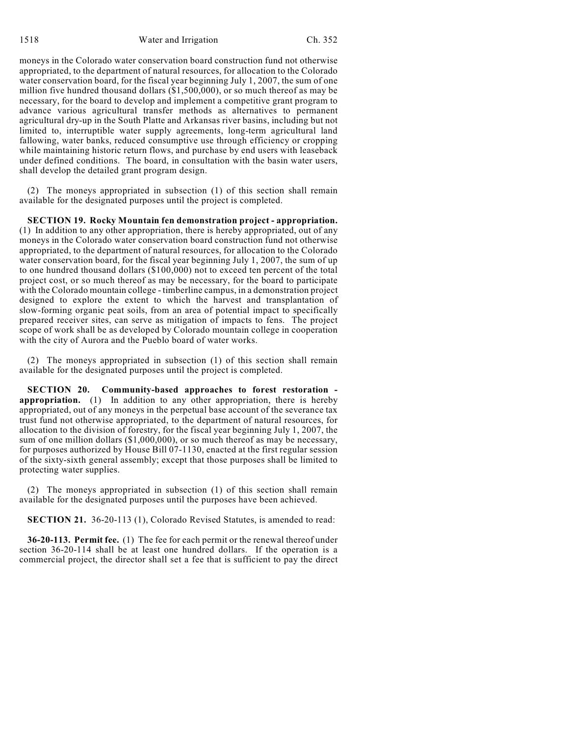1518 Water and Irrigation Ch. 352

moneys in the Colorado water conservation board construction fund not otherwise appropriated, to the department of natural resources, for allocation to the Colorado water conservation board, for the fiscal year beginning July 1, 2007, the sum of one million five hundred thousand dollars (\$1,500,000), or so much thereof as may be necessary, for the board to develop and implement a competitive grant program to advance various agricultural transfer methods as alternatives to permanent agricultural dry-up in the South Platte and Arkansas river basins, including but not limited to, interruptible water supply agreements, long-term agricultural land fallowing, water banks, reduced consumptive use through efficiency or cropping while maintaining historic return flows, and purchase by end users with leaseback under defined conditions. The board, in consultation with the basin water users, shall develop the detailed grant program design.

(2) The moneys appropriated in subsection (1) of this section shall remain available for the designated purposes until the project is completed.

**SECTION 19. Rocky Mountain fen demonstration project - appropriation.** (1) In addition to any other appropriation, there is hereby appropriated, out of any moneys in the Colorado water conservation board construction fund not otherwise appropriated, to the department of natural resources, for allocation to the Colorado water conservation board, for the fiscal year beginning July 1, 2007, the sum of up to one hundred thousand dollars (\$100,000) not to exceed ten percent of the total project cost, or so much thereof as may be necessary, for the board to participate with the Colorado mountain college - timberline campus, in a demonstration project designed to explore the extent to which the harvest and transplantation of slow-forming organic peat soils, from an area of potential impact to specifically prepared receiver sites, can serve as mitigation of impacts to fens. The project scope of work shall be as developed by Colorado mountain college in cooperation with the city of Aurora and the Pueblo board of water works.

(2) The moneys appropriated in subsection (1) of this section shall remain available for the designated purposes until the project is completed.

**SECTION 20. Community-based approaches to forest restoration appropriation.** (1) In addition to any other appropriation, there is hereby appropriated, out of any moneys in the perpetual base account of the severance tax trust fund not otherwise appropriated, to the department of natural resources, for allocation to the division of forestry, for the fiscal year beginning July 1, 2007, the sum of one million dollars (\$1,000,000), or so much thereof as may be necessary, for purposes authorized by House Bill 07-1130, enacted at the first regular session of the sixty-sixth general assembly; except that those purposes shall be limited to protecting water supplies.

(2) The moneys appropriated in subsection (1) of this section shall remain available for the designated purposes until the purposes have been achieved.

**SECTION 21.** 36-20-113 (1), Colorado Revised Statutes, is amended to read:

**36-20-113. Permit fee.** (1) The fee for each permit or the renewal thereof under section 36-20-114 shall be at least one hundred dollars. If the operation is a commercial project, the director shall set a fee that is sufficient to pay the direct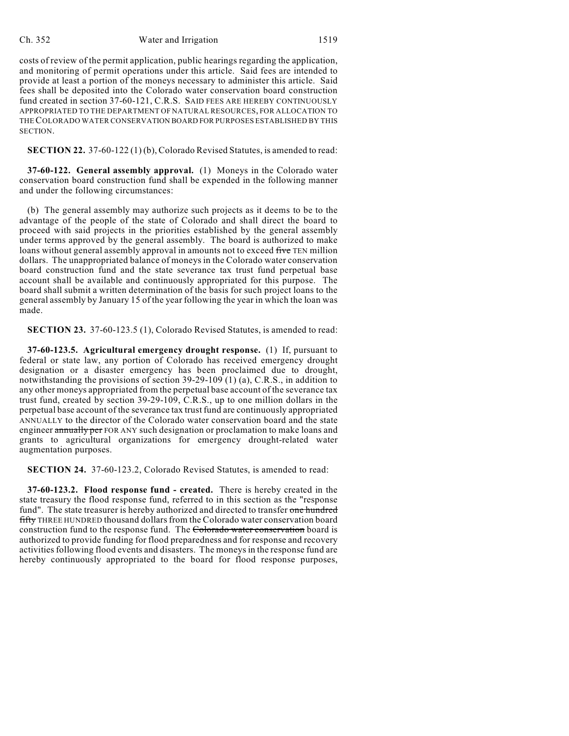## Ch. 352 Water and Irrigation 1519

costs of review of the permit application, public hearings regarding the application, and monitoring of permit operations under this article. Said fees are intended to provide at least a portion of the moneys necessary to administer this article. Said fees shall be deposited into the Colorado water conservation board construction fund created in section 37-60-121, C.R.S. SAID FEES ARE HEREBY CONTINUOUSLY APPROPRIATED TO THE DEPARTMENT OF NATURAL RESOURCES, FOR ALLOCATION TO THE COLORADO WATER CONSERVATION BOARD FOR PURPOSES ESTABLISHED BY THIS **SECTION** 

**SECTION 22.** 37-60-122 (1) (b), Colorado Revised Statutes, is amended to read:

**37-60-122. General assembly approval.** (1) Moneys in the Colorado water conservation board construction fund shall be expended in the following manner and under the following circumstances:

(b) The general assembly may authorize such projects as it deems to be to the advantage of the people of the state of Colorado and shall direct the board to proceed with said projects in the priorities established by the general assembly under terms approved by the general assembly. The board is authorized to make loans without general assembly approval in amounts not to exceed five TEN million dollars. The unappropriated balance of moneys in the Colorado water conservation board construction fund and the state severance tax trust fund perpetual base account shall be available and continuously appropriated for this purpose. The board shall submit a written determination of the basis for such project loans to the general assembly by January 15 of the year following the year in which the loan was made.

**SECTION 23.** 37-60-123.5 (1), Colorado Revised Statutes, is amended to read:

**37-60-123.5. Agricultural emergency drought response.** (1) If, pursuant to federal or state law, any portion of Colorado has received emergency drought designation or a disaster emergency has been proclaimed due to drought, notwithstanding the provisions of section 39-29-109 (1) (a), C.R.S., in addition to any other moneys appropriated from the perpetual base account of the severance tax trust fund, created by section 39-29-109, C.R.S., up to one million dollars in the perpetual base account of the severance tax trust fund are continuously appropriated ANNUALLY to the director of the Colorado water conservation board and the state engineer annually per FOR ANY such designation or proclamation to make loans and grants to agricultural organizations for emergency drought-related water augmentation purposes.

**SECTION 24.** 37-60-123.2, Colorado Revised Statutes, is amended to read:

**37-60-123.2. Flood response fund - created.** There is hereby created in the state treasury the flood response fund, referred to in this section as the "response fund". The state treasurer is hereby authorized and directed to transfer one hundred fifty THREE HUNDRED thousand dollars from the Colorado water conservation board construction fund to the response fund. The Colorado water conservation board is authorized to provide funding for flood preparedness and for response and recovery activities following flood events and disasters. The moneys in the response fund are hereby continuously appropriated to the board for flood response purposes,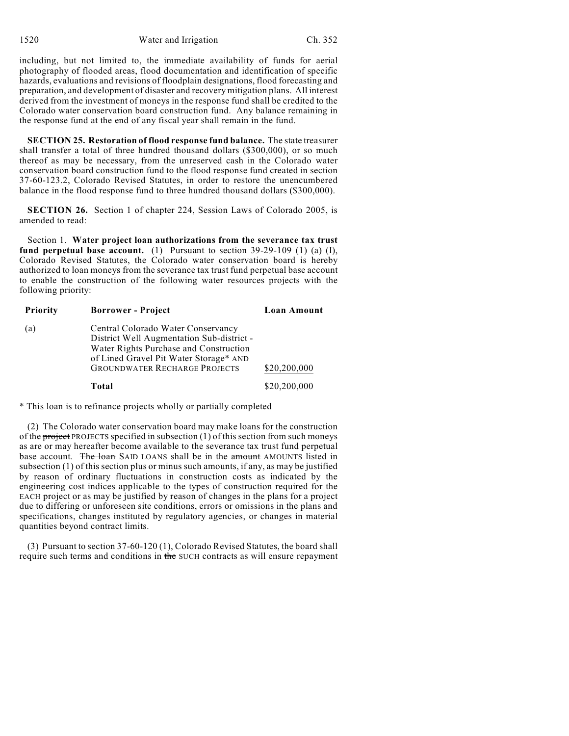1520 Water and Irrigation Ch. 352

including, but not limited to, the immediate availability of funds for aerial photography of flooded areas, flood documentation and identification of specific hazards, evaluations and revisions of floodplain designations, flood forecasting and preparation, and development of disaster and recovery mitigation plans. All interest derived from the investment of moneys in the response fund shall be credited to the Colorado water conservation board construction fund. Any balance remaining in the response fund at the end of any fiscal year shall remain in the fund.

**SECTION 25. Restoration of flood response fund balance.** The state treasurer shall transfer a total of three hundred thousand dollars (\$300,000), or so much thereof as may be necessary, from the unreserved cash in the Colorado water conservation board construction fund to the flood response fund created in section 37-60-123.2, Colorado Revised Statutes, in order to restore the unencumbered balance in the flood response fund to three hundred thousand dollars (\$300,000).

**SECTION 26.** Section 1 of chapter 224, Session Laws of Colorado 2005, is amended to read:

Section 1. **Water project loan authorizations from the severance tax trust fund perpetual base account.** (1) Pursuant to section 39-29-109 (1) (a) (I), Colorado Revised Statutes, the Colorado water conservation board is hereby authorized to loan moneys from the severance tax trust fund perpetual base account to enable the construction of the following water resources projects with the following priority:

| <b>Priority</b> | <b>Borrower - Project</b>                                                                                                                                                                                   | <b>Loan Amount</b> |
|-----------------|-------------------------------------------------------------------------------------------------------------------------------------------------------------------------------------------------------------|--------------------|
| (a)             | Central Colorado Water Conservancy<br>District Well Augmentation Sub-district -<br>Water Rights Purchase and Construction<br>of Lined Gravel Pit Water Storage* AND<br><b>GROUNDWATER RECHARGE PROJECTS</b> | \$20,200,000       |
|                 | Total                                                                                                                                                                                                       | \$20,200,000       |

\* This loan is to refinance projects wholly or partially completed

(2) The Colorado water conservation board may make loans for the construction of the **project** PROJECTS specified in subsection  $(1)$  of this section from such moneys as are or may hereafter become available to the severance tax trust fund perpetual base account. The loan SAID LOANS shall be in the amount AMOUNTS listed in subsection (1) of this section plus or minus such amounts, if any, as may be justified by reason of ordinary fluctuations in construction costs as indicated by the engineering cost indices applicable to the types of construction required for the EACH project or as may be justified by reason of changes in the plans for a project due to differing or unforeseen site conditions, errors or omissions in the plans and specifications, changes instituted by regulatory agencies, or changes in material quantities beyond contract limits.

(3) Pursuant to section 37-60-120 (1), Colorado Revised Statutes, the board shall require such terms and conditions in the SUCH contracts as will ensure repayment